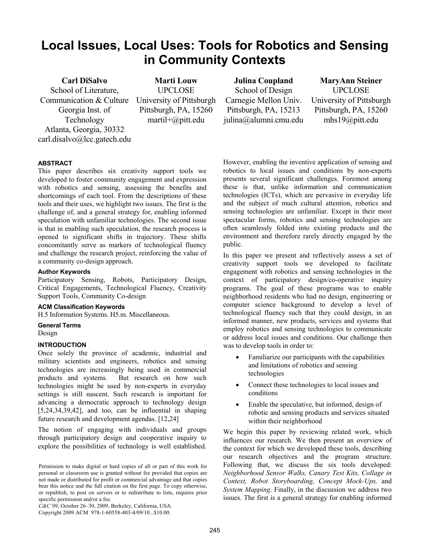# **Local Issues, Local Uses: Tools for Robotics and Sensing in Community Contexts**

**Carl DiSalvo**  School of Literature, Communication & Culture Georgia Inst. of Technology Atlanta, Georgia, 30332 carl.disalvo@lcc.gatech.edu

**Marti Louw**  UPCLOSE University of Pittsburgh Pittsburgh, PA, 15260 martil+@pitt.edu

**Julina Coupland**  School of Design Carnegie Mellon Univ. Pittsburgh, PA, 15213 julina@alumni.cmu.edu

**MaryAnn Steiner**  UPCLOSE University of Pittsburgh Pittsburgh, PA, 15260 mhs19@pitt.edu

## **ABSTRACT**

This paper describes six creativity support tools we developed to foster community engagement and expression with robotics and sensing, assessing the benefits and shortcomings of each tool. From the descriptions of these tools and their uses, we highlight two issues. The first is the challenge of, and a general strategy for, enabling informed speculation with unfamiliar technologies. The second issue is that in enabling such speculation, the research process is opened to significant shifts in trajectory. These shifts concomitantly serve as markers of technological fluency and challenge the research project, reinforcing the value of a community co-design approach.

#### **Author Keywords**

Participatory Sensing, Robots, Participatory Design, Critical Engagements, Technological Fluency, Creativity Support Tools, Community Co-design

#### **ACM Classification Keywords**

H.5 Information Systems. H5.m. Miscellaneous.

#### **General Terms**

Design

#### **INTRODUCTION**

Once solely the province of academic, industrial and military scientists and engineers, robotics and sensing technologies are increasingly being used in commercial products and systems. But research on how such technologies might be used by non-experts in everyday settings is still nascent. Such research is important for advancing a democratic approach to technology design [5,24,34,39,42], and too, can be influential in shaping future research and development agendas. [12,24]

The notion of engaging with individuals and groups through participatory design and cooperative inquiry to explore the possibilities of technology is well established.

*C&C'09*, October 26–30, 2009, Berkeley, California, USA.

Copyright 2009 ACM 978-1-60558-403-4/09/10...\$10.00.

However, enabling the inventive application of sensing and robotics to local issues and conditions by non-experts presents several significant challenges. Foremost among these is that, unlike information and communication technologies (ICTs), which are pervasive in everyday life and the subject of much cultural attention, robotics and sensing technologies are unfamiliar. Except in their most spectacular forms, robotics and sensing technologies are often seamlessly folded into existing products and the environment and therefore rarely directly engaged by the public.

In this paper we present and reflectively assess a set of creativity support tools we developed to facilitate engagement with robotics and sensing technologies in the context of participatory design/co-operative inquiry programs. The goal of these programs was to enable neighborhood residents who had no design, engineering or computer science background to develop a level of technological fluency such that they could design, in an informed manner, new products, services and systems that employ robotics and sensing technologies to communicate or address local issues and conditions. Our challenge then was to develop tools in order to:

- Familiarize our participants with the capabilities and limitations of robotics and sensing technologies
- Connect these technologies to local issues and conditions
- Enable the speculative, but informed, design of robotic and sensing products and services situated within their neighborhood

We begin this paper by reviewing related work, which influences our research. We then present an overview of the context for which we developed these tools, describing our research objectives and the program structure. Following that, we discuss the six tools developed: *Neighborhood Sensor Walks, Canary Test Kits, Collage in Context, Robot Storyboarding, Concept Mock-Ups,* and *System Mapping*. Finally, in the discussion we address two issues. The first is a general strategy for enabling informed

Permission to make digital or hard copies of all or part of this work for personal or classroom use is granted without fee provided that copies are not made or distributed for profit or commercial advantage and that copies bear this notice and the full citation on the first page. To copy otherwise, or republish, to post on servers or to redistribute to lists, requires prior specific permission and/or a fee.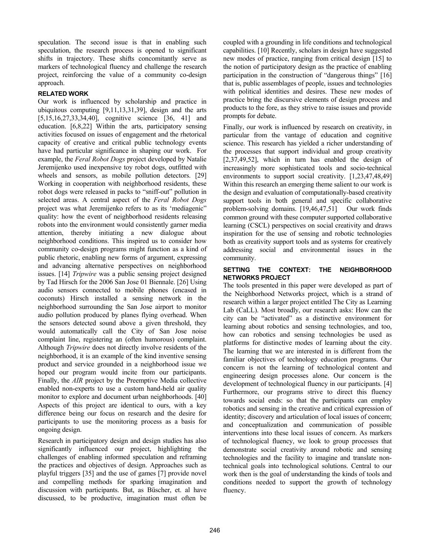speculation. The second issue is that in enabling such speculation, the research process is opened to significant shifts in trajectory. These shifts concomitantly serve as markers of technological fluency and challenge the research project, reinforcing the value of a community co-design approach.

## **RELATED WORK**

Our work is influenced by scholarship and practice in ubiquitous computing [9,11,13,31,39], design and the arts [5,15,16,27,33,34,40], cognitive science [36, 41] and education. [6,8,22] Within the arts, participatory sensing activities focused on issues of engagement and the rhetorical capacity of creative and critical public technology events have had particular significance in shaping our work. For example, the *Feral Robot Dogs* project developed by Natalie Jeremijenko used inexpensive toy robot dogs, outfitted with wheels and sensors, as mobile pollution detectors. [29] Working in cooperation with neighborhood residents, these robot dogs were released in packs to "sniff-out" pollution in selected areas. A central aspect of the *Feral Robot Dogs* project was what Jeremijenko refers to as its 'mediagenic" quality: how the event of neighborhood residents releasing robots into the environment would consistently garner media attention, thereby initiating a new dialogue about neighborhood conditions. This inspired us to consider how community co-design programs might function as a kind of public rhetoric, enabling new forms of argument, expressing and advancing alternative perspectives on neighborhood issues. [14] *Tripwire* was a public sensing project designed by Tad Hirsch for the 2006 San Jose 01 Biennale. [26] Using audio sensors connected to mobile phones (encased in coconuts) Hirsch installed a sensing network in the neighborhood surrounding the San Jose airport to monitor audio pollution produced by planes flying overhead. When the sensors detected sound above a given threshold, they would automatically call the City of San Jose noise complaint line, registering an (often humorous) complaint. Although *Tripwire* does not directly involve residents of the neighborhood, it is an example of the kind inventive sensing product and service grounded in a neighborhood issue we hoped our program would incite from our participants. Finally, the *AIR* project by the Preemptive Media collective enabled non-experts to use a custom hand-held air quality monitor to explore and document urban neighborhoods. [40] Aspects of this project are identical to ours, with a key difference being our focus on research and the desire for participants to use the monitoring process as a basis for ongoing design.

Research in participatory design and design studies has also significantly influenced our project, highlighting the challenges of enabling informed speculation and reframing the practices and objectives of design. Approaches such as playful triggers [35] and the use of games [7] provide novel and compelling methods for sparking imagination and discussion with participants. But, as Büscher, et. al have discussed, to be productive, imagination must often be coupled with a grounding in life conditions and technological capabilities. [10] Recently, scholars in design have suggested new modes of practice, ranging from critical design [15] to the notion of participatory design as the practice of enabling participation in the construction of "dangerous things" [16] that is, public assemblages of people, issues and technologies with political identities and desires. These new modes of practice bring the discursive elements of design process and products to the fore, as they strive to raise issues and provide prompts for debate.

Finally, our work is influenced by research on creativity, in particular from the vantage of education and cognitive science. This research has yielded a richer understanding of the processes that support individual and group creativity [2,37,49,52], which in turn has enabled the design of increasingly more sophisticated tools and socio-technical environments to support social creativity. [1,23,47,48,49] Within this research an emerging theme salient to our work is the design and evaluation of computationally-based creativity support tools in both general and specific collaborative problem-solving domains. [19,46,47,51] Our work finds common ground with these computer supported collaborative learning (CSCL) perspectives on social creativity and draws inspiration for the use of sensing and robotic technologies both as creativity support tools and as systems for creatively addressing social and environmental issues in the community.

### **SETTING THE CONTEXT: THE NEIGHBORHOOD NETWORKS PROJECT**

The tools presented in this paper were developed as part of the Neighborhood Networks project, which is a strand of research within a larger project entitled The City as Learning Lab (CaLL). Most broadly, our research asks: How can the city can be "activated" as a distinctive environment for learning about robotics and sensing technologies, and too, how can robotics and sensing technologies be used as platforms for distinctive modes of learning about the city. The learning that we are interested in is different from the familiar objectives of technology education programs. Our concern is not the learning of technological content and engineering design processes alone. Our concern is the development of technological fluency in our participants. [4] Furthermore, our programs strive to direct this fluency towards social ends: so that the participants can employ robotics and sensing in the creative and critical expression of identity; discovery and articulation of local issues of concern; and conceptualization and communication of possible interventions into these local issues of concern. As markers of technological fluency, we look to group processes that demonstrate social creativity around robotic and sensing technologies and the facility to imagine and translate nontechnical goals into technological solutions. Central to our work then is the goal of understanding the kinds of tools and conditions needed to support the growth of technology fluency.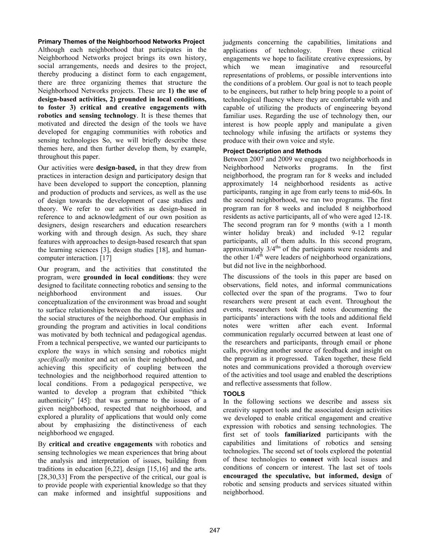**Primary Themes of the Neighborhood Networks Project**  Although each neighborhood that participates in the Neighborhood Networks project brings its own history, social arrangements, needs and desires to the project, thereby producing a distinct form to each engagement, there are three organizing themes that structure the Neighborhood Networks projects. These are **1) the use of design-based activities, 2) grounded in local conditions, to foster 3) critical and creative engagements with robotics and sensing technology**. It is these themes that motivated and directed the design of the tools we have developed for engaging communities with robotics and sensing technologies So, we will briefly describe these themes here, and then further develop them, by example, throughout this paper.

Our activities were **design-based,** in that they drew from practices in interaction design and participatory design that have been developed to support the conception, planning and production of products and services, as well as the use of design towards the development of case studies and theory. We refer to our activities as design-based in reference to and acknowledgment of our own position as designers, design researchers and education researchers working with and through design. As such, they share features with approaches to design-based research that span the learning sciences [3], design studies [18], and humancomputer interaction. [17]

Our program, and the activities that constituted the program, were **grounded in local conditions**: they were designed to facilitate connecting robotics and sensing to the neighborhood environment and issues. Our conceptualization of the environment was broad and sought to surface relationships between the material qualities and the social structures of the neighborhood. Our emphasis in grounding the program and activities in local conditions was motivated by both technical and pedagogical agendas. From a technical perspective, we wanted our participants to explore the ways in which sensing and robotics might *specifically* monitor and act on/in their neighborhood, and achieving this specificity of coupling between the technologies and the neighborhood required attention to local conditions. From a pedagogical perspective, we wanted to develop a program that exhibited "thick authenticity" [45]: that was germane to the issues of a given neighborhood, respected that neighborhood, and explored a plurality of applications that would only come about by emphasizing the distinctiveness of each neighborhood we engaged.

By **critical and creative engagements** with robotics and sensing technologies we mean experiences that bring about the analysis and interpretation of issues, building from traditions in education [6,22], design [15,16] and the arts. [28,30,33] From the perspective of the critical, our goal is to provide people with experiential knowledge so that they can make informed and insightful suppositions and judgments concerning the capabilities, limitations and applications of technology. From these critical engagements we hope to facilitate creative expressions, by which we mean imaginative and resourceful representations of problems, or possible interventions into the conditions of a problem. Our goal is not to teach people to be engineers, but rather to help bring people to a point of technological fluency where they are comfortable with and capable of utilizing the products of engineering beyond familiar uses. Regarding the use of technology then, our interest is how people apply and manipulate a given technology while infusing the artifacts or systems they produce with their own voice and style.

### **Project Description and Methods**

Between 2007 and 2009 we engaged two neighborhoods in Neighborhood Networks programs. In the first neighborhood, the program ran for 8 weeks and included approximately 14 neighborhood residents as active participants, ranging in age from early teens to mid-60s. In the second neighborhood, we ran two programs. The first program ran for 8 weeks and included 8 neighborhood residents as active participants, all of who were aged 12-18. The second program ran for 9 months (with a 1 month winter holiday break) and included 9-12 regular participants, all of them adults. In this second program, approximately  $3/4$ <sup>ths</sup> of the participants were residents and the other  $1/4<sup>th</sup>$  were leaders of neighborhood organizations, but did not live in the neighborhood.

The discussions of the tools in this paper are based on observations, field notes, and informal communications collected over the span of the programs. Two to four researchers were present at each event. Throughout the events, researchers took field notes documenting the participants' interactions with the tools and additional field notes were written after each event. Informal communication regularly occurred between at least one of the researchers and participants, through email or phone calls, providing another source of feedback and insight on the program as it progressed. Taken together, these field notes and communications provided a thorough overview of the activities and tool usage and enabled the descriptions and reflective assessments that follow.

## **TOOLS**

In the following sections we describe and assess six creativity support tools and the associated design activities we developed to enable critical engagement and creative expression with robotics and sensing technologies. The first set of tools **familiarized** participants with the capabilities and limitations of robotics and sensing technologies. The second set of tools explored the potential of these technologies to **connect** with local issues and conditions of concern or interest. The last set of tools **encouraged the speculative, but informed, design** of robotic and sensing products and services situated within neighborhood.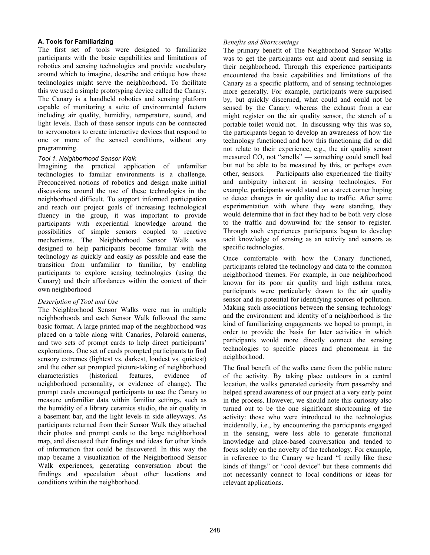## **A. Tools for Familiarizing**

The first set of tools were designed to familiarize participants with the basic capabilities and limitations of robotics and sensing technologies and provide vocabulary around which to imagine, describe and critique how these technologies might serve the neighborhood. To facilitate this we used a simple prototyping device called the Canary. The Canary is a handheld robotics and sensing platform capable of monitoring a suite of environmental factors including air quality, humidity, temperature, sound, and light levels. Each of these sensor inputs can be connected to servomotors to create interactive devices that respond to one or more of the sensed conditions, without any programming.

### *Tool 1. Neighborhood Sensor Walk*

Imagining the practical application of unfamiliar technologies to familiar environments is a challenge. Preconceived notions of robotics and design make initial discussions around the use of these technologies in the neighborhood difficult. To support informed participation and reach our project goals of increasing technological fluency in the group, it was important to provide participants with experiential knowledge around the possibilities of simple sensors coupled to reactive mechanisms. The Neighborhood Sensor Walk was designed to help participants become familiar with the technology as quickly and easily as possible and ease the transition from unfamiliar to familiar, by enabling participants to explore sensing technologies (using the Canary) and their affordances within the context of their own neighborhood

## *Description of Tool and Use*

The Neighborhood Sensor Walks were run in multiple neighborhoods and each Sensor Walk followed the same basic format. A large printed map of the neighborhood was placed on a table along with Canaries, Polaroid cameras, and two sets of prompt cards to help direct participants' explorations. One set of cards prompted participants to find sensory extremes (lightest vs. darkest, loudest vs. quietest) and the other set prompted picture-taking of neighborhood characteristics (historical features, evidence of neighborhood personality, or evidence of change). The prompt cards encouraged participants to use the Canary to measure unfamiliar data within familiar settings, such as the humidity of a library ceramics studio, the air quality in a basement bar, and the light levels in side alleyways. As participants returned from their Sensor Walk they attached their photos and prompt cards to the large neighborhood map, and discussed their findings and ideas for other kinds of information that could be discovered. In this way the map became a visualization of the Neighborhood Sensor Walk experiences, generating conversation about the findings and speculation about other locations and conditions within the neighborhood.

#### *Benefits and Shortcomings*

The primary benefit of The Neighborhood Sensor Walks was to get the participants out and about and sensing in their neighborhood. Through this experience participants encountered the basic capabilities and limitations of the Canary as a specific platform, and of sensing technologies more generally. For example, participants were surprised by, but quickly discerned, what could and could not be sensed by the Canary: whereas the exhaust from a car might register on the air quality sensor, the stench of a portable toilet would not. In discussing why this was so, the participants began to develop an awareness of how the technology functioned and how this functioning did or did not relate to their experience, e.g., the air quality sensor measured CO, not "smells" — something could smell bad but not be able to be measured by this, or perhaps even other, sensors. Participants also experienced the frailty and ambiguity inherent in sensing technologies. For example, participants would stand on a street corner hoping to detect changes in air quality due to traffic. After some experimentation with where they were standing, they would determine that in fact they had to be both very close to the traffic and downwind for the sensor to register. Through such experiences participants began to develop tacit knowledge of sensing as an activity and sensors as specific technologies.

Once comfortable with how the Canary functioned, participants related the technology and data to the common neighborhood themes. For example, in one neighborhood known for its poor air quality and high asthma rates, participants were particularly drawn to the air quality sensor and its potential for identifying sources of pollution. Making such associations between the sensing technology and the environment and identity of a neighborhood is the kind of familiarizing engagements we hoped to prompt, in order to provide the basis for later activities in which participants would more directly connect the sensing technologies to specific places and phenomena in the neighborhood.

The final benefit of the walks came from the public nature of the activity. By taking place outdoors in a central location, the walks generated curiosity from passersby and helped spread awareness of our project at a very early point in the process. However, we should note this curiosity also turned out to be the one significant shortcoming of the activity: those who were introduced to the technologies incidentally, i.e., by encountering the participants engaged in the sensing, were less able to generate functional knowledge and place-based conversation and tended to focus solely on the novelty of the technology. For example, in reference to the Canary we heard "I really like these kinds of things" or "cool device" but these comments did not necessarily connect to local conditions or ideas for relevant applications.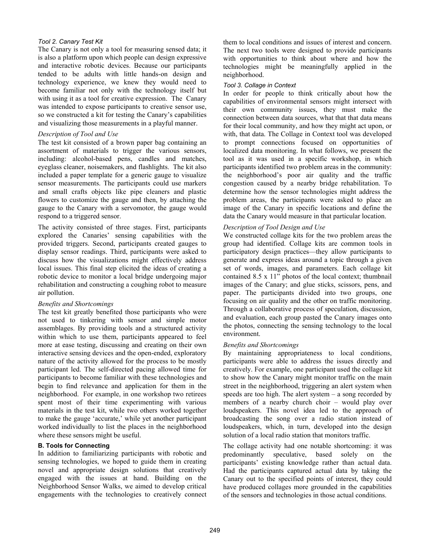#### *Tool 2. Canary Test Kit*

The Canary is not only a tool for measuring sensed data; it is also a platform upon which people can design expressive and interactive robotic devices. Because our participants tended to be adults with little hands-on design and technology experience, we knew they would need to become familiar not only with the technology itself but with using it as a tool for creative expression. The Canary was intended to expose participants to creative sensor use, so we constructed a kit for testing the Canary's capabilities and visualizing those measurements in a playful manner.

## *Description of Tool and Use*

The test kit consisted of a brown paper bag containing an assortment of materials to trigger the various sensors, including: alcohol-based pens, candles and matches, eyeglass cleaner, noisemakers, and flashlights. The kit also included a paper template for a generic gauge to visualize sensor measurements. The participants could use markers and small crafts objects like pipe cleaners and plastic flowers to customize the gauge and then, by attaching the gauge to the Canary with a servomotor, the gauge would respond to a triggered sensor.

The activity consisted of three stages. First, participants explored the Canaries' sensing capabilities with the provided triggers. Second, participants created gauges to display sensor readings. Third, participants were asked to discuss how the visualizations might effectively address local issues. This final step elicited the ideas of creating a robotic device to monitor a local bridge undergoing major rehabilitation and constructing a coughing robot to measure air pollution.

## *Benefits and Shortcomings*

The test kit greatly benefited those participants who were not used to tinkering with sensor and simple motor assemblages. By providing tools and a structured activity within which to use them, participants appeared to feel more at ease testing, discussing and creating on their own interactive sensing devices and the open-ended, exploratory nature of the activity allowed for the process to be mostly participant led. The self-directed pacing allowed time for participants to become familiar with these technologies and begin to find relevance and application for them in the neighborhood. For example, in one workshop two retirees spent most of their time experimenting with various materials in the test kit, while two others worked together to make the gauge 'accurate,' while yet another participant worked individually to list the places in the neighborhood where these sensors might be useful.

## **B. Tools for Connecting**

In addition to familiarizing participants with robotic and sensing technologies, we hoped to guide them in creating novel and appropriate design solutions that creatively engaged with the issues at hand. Building on the Neighborhood Sensor Walks, we aimed to develop critical engagements with the technologies to creatively connect them to local conditions and issues of interest and concern. The next two tools were designed to provide participants with opportunities to think about where and how the technologies might be meaningfully applied in the neighborhood.

### *Tool 3. Collage in Context*

In order for people to think critically about how the capabilities of environmental sensors might intersect with their own community issues, they must make the connection between data sources, what that that data means for their local community, and how they might act upon, or with, that data. The Collage in Context tool was developed to prompt connections focused on opportunities of localized data monitoring. In what follows, we present the tool as it was used in a specific workshop, in which participants identified two problem areas in the community: the neighborhood's poor air quality and the traffic congestion caused by a nearby bridge rehabilitation. To determine how the sensor technologies might address the problem areas, the participants were asked to place an image of the Canary in specific locations and define the data the Canary would measure in that particular location.

## *Description of Tool Design and Use*

We constructed collage kits for the two problem areas the group had identified. Collage kits are common tools in participatory design practices—they allow participants to generate and express ideas around a topic through a given set of words, images, and parameters. Each collage kit contained 8.5 x 11" photos of the local context; thumbnail images of the Canary; and glue sticks, scissors, pens, and paper. The participants divided into two groups, one focusing on air quality and the other on traffic monitoring. Through a collaborative process of speculation, discussion, and evaluation, each group pasted the Canary images onto the photos, connecting the sensing technology to the local environment.

## *Benefits and Shortcomings*

By maintaining appropriateness to local conditions, participants were able to address the issues directly and creatively. For example, one participant used the collage kit to show how the Canary might monitor traffic on the main street in the neighborhood, triggering an alert system when speeds are too high. The alert system – a song recorded by members of a nearby church choir – would play over loudspeakers. This novel idea led to the approach of broadcasting the song over a radio station instead of loudspeakers, which, in turn, developed into the design solution of a local radio station that monitors traffic.

The collage activity had one notable shortcoming: it was predominantly speculative, based solely on the participants' existing knowledge rather than actual data. Had the participants captured actual data by taking the Canary out to the specified points of interest, they could have produced collages more grounded in the capabilities of the sensors and technologies in those actual conditions.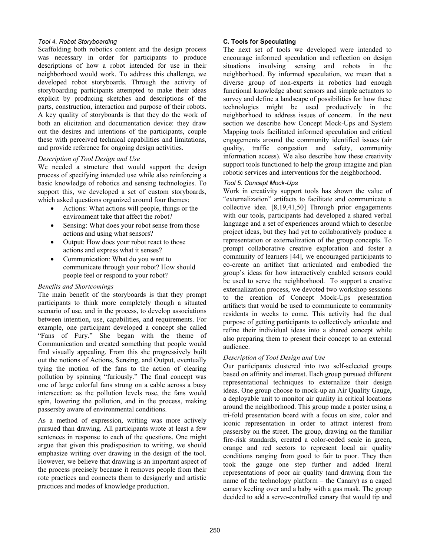#### *Tool 4. Robot Storyboarding*

Scaffolding both robotics content and the design process was necessary in order for participants to produce descriptions of how a robot intended for use in their neighborhood would work. To address this challenge, we developed robot storyboards. Through the activity of storyboarding participants attempted to make their ideas explicit by producing sketches and descriptions of the parts, construction, interaction and purpose of their robots. A key quality of storyboards is that they do the work of both an elicitation and documentation device: they draw out the desires and intentions of the participants, couple these with perceived technical capabilities and limitations, and provide reference for ongoing design activities.

### *Description of Tool Design and Use*

We needed a structure that would support the design process of specifying intended use while also reinforcing a basic knowledge of robotics and sensing technologies. To support this, we developed a set of custom storyboards, which asked questions organized around four themes:

- Actions: What actions will people, things or the environment take that affect the robot?
- Sensing: What does your robot sense from those actions and using what sensors?
- Output: How does your robot react to those actions and express what it senses?
- Communication: What do you want to communicate through your robot? How should people feel or respond to your robot?

## *Benefits and Shortcomings*

The main benefit of the storyboards is that they prompt participants to think more completely though a situated scenario of use, and in the process, to develop associations between intention, use, capabilities, and requirements. For example, one participant developed a concept she called "Fans of Fury." She began with the theme of Communication and created something that people would find visually appealing. From this she progressively built out the notions of Actions, Sensing, and Output, eventually tying the motion of the fans to the action of clearing pollution by spinning "furiously." The final concept was one of large colorful fans strung on a cable across a busy intersection: as the pollution levels rose, the fans would spin, lowering the pollution, and in the process, making passersby aware of environmental conditions.

As a method of expression, writing was more actively pursued than drawing. All participants wrote at least a few sentences in response to each of the questions. One might argue that given this predisposition to writing, we should emphasize writing over drawing in the design of the tool. However, we believe that drawing is an important aspect of the process precisely because it removes people from their rote practices and connects them to designerly and artistic practices and modes of knowledge production.

## **C. Tools for Speculating**

The next set of tools we developed were intended to encourage informed speculation and reflection on design situations involving sensing and robots in the neighborhood. By informed speculation, we mean that a diverse group of non-experts in robotics had enough functional knowledge about sensors and simple actuators to survey and define a landscape of possibilities for how these technologies might be used productively in the neighborhood to address issues of concern. In the next section we describe how Concept Mock-Ups and System Mapping tools facilitated informed speculation and critical engagements around the community identified issues (air quality, traffic congestion and safety, community information access). We also describe how these creativity support tools functioned to help the group imagine and plan robotic services and interventions for the neighborhood.

### *Tool 5. Concept Mock-Ups*

Work in creativity support tools has shown the value of "externalization" artifacts to facilitate and communicate a collective idea. [8,19,41,50] Through prior engagements with our tools, participants had developed a shared verbal language and a set of experiences around which to describe project ideas, but they had yet to collaboratively produce a representation or externalization of the group concepts. To prompt collaborative creative exploration and foster a community of learners [44], we encouraged participants to co-create an artifact that articulated and embodied the group's ideas for how interactively enabled sensors could be used to serve the neighborhood. To support a creative externalization process, we devoted two workshop sessions to the creation of Concept Mock-Ups—presentation artifacts that would be used to communicate to community residents in weeks to come. This activity had the dual purpose of getting participants to collectively articulate and refine their individual ideas into a shared concept while also preparing them to present their concept to an external audience.

## *Description of Tool Design and Use*

Our participants clustered into two self-selected groups based on affinity and interest. Each group pursued different representational techniques to externalize their design ideas. One group choose to mock-up an Air Quality Gauge, a deployable unit to monitor air quality in critical locations around the neighborhood. This group made a poster using a tri-fold presentation board with a focus on size, color and iconic representation in order to attract interest from passersby on the street. The group, drawing on the familiar fire-risk standards, created a color-coded scale in green, orange and red sectors to represent local air quality conditions ranging from good to fair to poor. They then took the gauge one step further and added literal representations of poor air quality (and drawing from the name of the technology platform – the Canary) as a caged canary keeling over and a baby with a gas mask. The group decided to add a servo-controlled canary that would tip and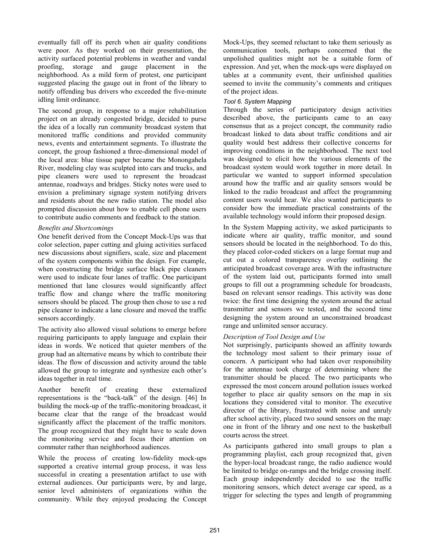eventually fall off its perch when air quality conditions were poor. As they worked on their presentation, the activity surfaced potential problems in weather and vandal proofing, storage and gauge placement in the neighborhood. As a mild form of protest, one participant suggested placing the gauge out in front of the library to notify offending bus drivers who exceeded the five-minute idling limit ordinance.

The second group, in response to a major rehabilitation project on an already congested bridge, decided to purse the idea of a locally run community broadcast system that monitored traffic conditions and provided community news, events and entertainment segments. To illustrate the concept, the group fashioned a three-dimensional model of the local area: blue tissue paper became the Monongahela River, modeling clay was sculpted into cars and trucks, and pipe cleaners were used to represent the broadcast antennae, roadways and bridges. Sticky notes were used to envision a preliminary signage system notifying drivers and residents about the new radio station. The model also prompted discussion about how to enable cell phone users to contribute audio comments and feedback to the station.

### *Benefits and Shortcomings*

One benefit derived from the Concept Mock-Ups was that color selection, paper cutting and gluing activities surfaced new discussions about signifiers, scale, size and placement of the system components within the design. For example, when constructing the bridge surface black pipe cleaners were used to indicate four lanes of traffic. One participant mentioned that lane closures would significantly affect traffic flow and change where the traffic monitoring sensors should be placed. The group then chose to use a red pipe cleaner to indicate a lane closure and moved the traffic sensors accordingly.

The activity also allowed visual solutions to emerge before requiring participants to apply language and explain their ideas in words. We noticed that quieter members of the group had an alternative means by which to contribute their ideas. The flow of discussion and activity around the table allowed the group to integrate and synthesize each other's ideas together in real time.

Another benefit of creating these externalized representations is the "back-talk" of the design. [46] In building the mock-up of the traffic-monitoring broadcast, it became clear that the range of the broadcast would significantly affect the placement of the traffic monitors. The group recognized that they might have to scale down the monitoring service and focus their attention on commuter rather than neighborhood audiences.

While the process of creating low-fidelity mock-ups supported a creative internal group process, it was less successful in creating a presentation artifact to use with external audiences. Our participants were, by and large, senior level administers of organizations within the community. While they enjoyed producing the Concept Mock-Ups, they seemed reluctant to take them seriously as communication tools, perhaps concerned that the unpolished qualities might not be a suitable form of expression. And yet, when the mock-ups were displayed on tables at a community event, their unfinished qualities seemed to invite the community's comments and critiques of the project ideas.

### *Tool 6. System Mapping*

Through the series of participatory design activities described above, the participants came to an easy consensus that as a project concept, the community radio broadcast linked to data about traffic conditions and air quality would best address their collective concerns for improving conditions in the neighborhood. The next tool was designed to elicit how the various elements of the broadcast system would work together in more detail. In particular we wanted to support informed speculation around how the traffic and air quality sensors would be linked to the radio broadcast and affect the programming content users would hear. We also wanted participants to consider how the immediate practical constraints of the available technology would inform their proposed design.

In the System Mapping activity, we asked participants to indicate where air quality, traffic monitor, and sound sensors should be located in the neighborhood. To do this, they placed color-coded stickers on a large format map and cut out a colored transparency overlay outlining the anticipated broadcast coverage area. With the infrastructure of the system laid out, participants formed into small groups to fill out a programming schedule for broadcasts, based on relevant sensor readings. This activity was done twice: the first time designing the system around the actual transmitter and sensors we tested, and the second time designing the system around an unconstrained broadcast range and unlimited sensor accuracy.

## *Description of Tool Design and Use*

Not surprisingly, participants showed an affinity towards the technology most salient to their primary issue of concern. A participant who had taken over responsibility for the antennae took charge of determining where the transmitter should be placed. The two participants who expressed the most concern around pollution issues worked together to place air quality sensors on the map in six locations they considered vital to monitor. The executive director of the library, frustrated with noise and unruly after school activity, placed two sound sensors on the map: one in front of the library and one next to the basketball courts across the street.

As participants gathered into small groups to plan a programming playlist, each group recognized that, given the hyper-local broadcast range, the radio audience would be limited to bridge on-ramps and the bridge crossing itself. Each group independently decided to use the traffic monitoring sensors, which detect average car speed, as a trigger for selecting the types and length of programming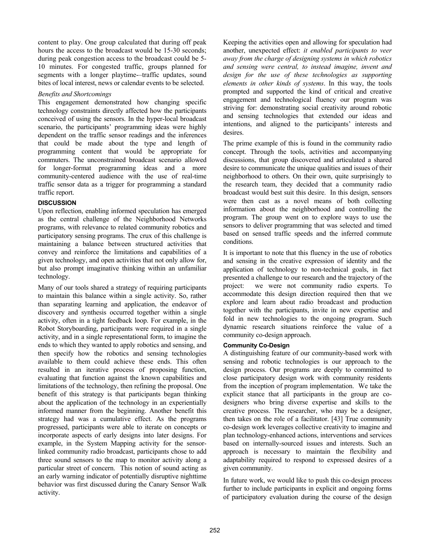content to play. One group calculated that during off peak hours the access to the broadcast would be 15-30 seconds; during peak congestion access to the broadcast could be 5- 10 minutes. For congested traffic, groups planned for segments with a longer playtime-–traffic updates, sound bites of local interest, news or calendar events to be selected.

## *Benefits and Shortcomings*

This engagement demonstrated how changing specific technology constraints directly affected how the participants conceived of using the sensors. In the hyper-local broadcast scenario, the participants' programming ideas were highly dependent on the traffic sensor readings and the inferences that could be made about the type and length of programming content that would be appropriate for commuters. The unconstrained broadcast scenario allowed for longer-format programming ideas and a more community-centered audience with the use of real-time traffic sensor data as a trigger for programming a standard traffic report.

### **DISCUSSION**

Upon reflection, enabling informed speculation has emerged as the central challenge of the Neighborhood Networks programs, with relevance to related community robotics and participatory sensing programs. The crux of this challenge is maintaining a balance between structured activities that convey and reinforce the limitations and capabilities of a given technology, and open activities that not only allow for, but also prompt imaginative thinking within an unfamiliar technology.

Many of our tools shared a strategy of requiring participants to maintain this balance within a single activity. So, rather than separating learning and application, the endeavor of discovery and synthesis occurred together within a single activity, often in a tight feedback loop. For example, in the Robot Storyboarding, participants were required in a single activity, and in a single representational form, to imagine the ends to which they wanted to apply robotics and sensing, and then specify how the robotics and sensing technologies available to them could achieve these ends. This often resulted in an iterative process of proposing function, evaluating that function against the known capabilities and limitations of the technology, then refining the proposal. One benefit of this strategy is that participants began thinking about the application of the technology in an experientially informed manner from the beginning. Another benefit this strategy had was a cumulative effect. As the programs progressed, participants were able to iterate on concepts or incorporate aspects of early designs into later designs. For example, in the System Mapping activity for the sensorlinked community radio broadcast, participants chose to add three sound sensors to the map to monitor activity along a particular street of concern. This notion of sound acting as an early warning indicator of potentially disruptive nighttime behavior was first discussed during the Canary Sensor Walk activity.

Keeping the activities open and allowing for speculation had another, unexpected effect: *it enabled participants to veer away from the charge of designing systems in which robotics and sensing were central, to instead imagine, invent and design for the use of these technologies as supporting elements in other kinds of systems*. In this way, the tools prompted and supported the kind of critical and creative engagement and technological fluency our program was striving for: demonstrating social creativity around robotic and sensing technologies that extended our ideas and intentions, and aligned to the participants' interests and desires.

The prime example of this is found in the community radio concept. Through the tools, activities and accompanying discussions, that group discovered and articulated a shared desire to communicate the unique qualities and issues of their neighborhood to others. On their own, quite surprisingly to the research team, they decided that a community radio broadcast would best suit this desire. In this design, sensors were then cast as a novel means of both collecting information about the neighborhood and controlling the program. The group went on to explore ways to use the sensors to deliver programming that was selected and timed based on sensed traffic speeds and the inferred commute conditions.

It is important to note that this fluency in the use of robotics and sensing in the creative expression of identity and the application of technology to non-technical goals, in fact presented a challenge to our research and the trajectory of the project: we were not community radio experts. To accommodate this design direction required then that we explore and learn about radio broadcast and production together with the participants, invite in new expertise and fold in new technologies to the ongoing program. Such dynamic research situations reinforce the value of a community co-design approach.

## **Community Co-Design**

A distinguishing feature of our community-based work with sensing and robotic technologies is our approach to the design process. Our programs are deeply to committed to close participatory design work with community residents from the inception of program implementation. We take the explicit stance that all participants in the group are codesigners who bring diverse expertise and skills to the creative process. The researcher, who may be a designer, then takes on the role of a facilitator. [43] True community co-design work leverages collective creativity to imagine and plan technology-enhanced actions, interventions and services based on internally-sourced issues and interests. Such an approach is necessary to maintain the flexibility and adaptability required to respond to expressed desires of a given community.

In future work, we would like to push this co-design process further to include participants in explicit and ongoing forms of participatory evaluation during the course of the design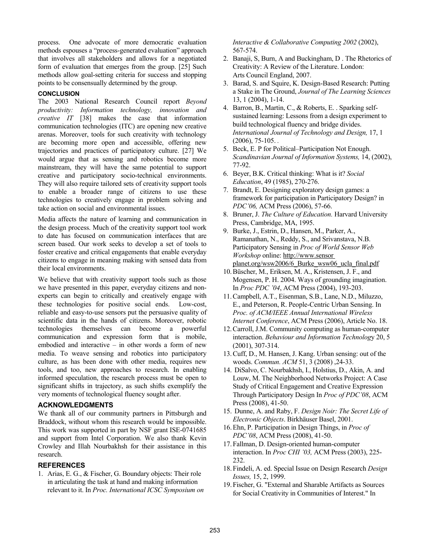process. One advocate of more democratic evaluation methods espouses a "process-generated evaluation" approach that involves all stakeholders and allows for a negotiated form of evaluation that emerges from the group. [25] Such methods allow goal-setting criteria for success and stopping points to be consensually determined by the group.

## **CONCLUSION**

The 2003 National Research Council report *Beyond productivity: Information technology, innovation and creative IT* [38] makes the case that information communication technologies (ITC) are opening new creative arenas. Moreover, tools for such creativity with technology are becoming more open and accessible, offering new trajectories and practices of participatory culture. [27] We would argue that as sensing and robotics become more mainstream, they will have the same potential to support creative and participatory socio-technical environments. They will also require tailored sets of creativity support tools to enable a broader range of citizens to use these technologies to creatively engage in problem solving and take action on social and environmental issues.

Media affects the nature of learning and communication in the design process. Much of the creativity support tool work to date has focused on communication interfaces that are screen based. Our work seeks to develop a set of tools to foster creative and critical engagements that enable everyday citizens to engage in meaning making with sensed data from their local environments.

We believe that with creativity support tools such as those we have presented in this paper, everyday citizens and nonexperts can begin to critically and creatively engage with these technologies for positive social ends. Low-cost, reliable and easy-to-use sensors put the persuasive quality of scientific data in the hands of citizens. Moreover, robotic technologies themselves can become a powerful communication and expression form that is mobile, embodied and interactive – in other words a form of new media. To weave sensing and robotics into participatory culture, as has been done with other media, requires new tools, and too, new approaches to research. In enabling informed speculation, the research process must be open to significant shifts in trajectory, as such shifts exemplify the very moments of technological fluency sought after.

## **ACKNOWLEDGMENTS**

We thank all of our community partners in Pittsburgh and Braddock, without whom this research would be impossible. This work was supported in part by NSF grant ISE-0741685 and support from Intel Corporation. We also thank Kevin Crowley and Illah Nourbakhsh for their assistance in this research.

## **REFERENCES**

1. Arias, E. G., & Fischer, G. Boundary objects: Their role in articulating the task at hand and making information relevant to it. In *Proc. International ICSC Symposium on*  *Interactive & Collaborative Computing 2002* (2002), 567-574.

- 2. Banaji, S, Burn, A and Buckingham, D . The Rhetorics of Creativity: A Review of the Literature. London: Arts Council England, 2007.
- 3. Barad, S. and Squire, K. Design-Based Research: Putting a Stake in The Ground, *Journal of The Learning Sciences*  13, 1 (2004), 1-14.
- 4. Barron, B., Martin, C., & Roberts, E. . Sparking selfsustained learning: Lessons from a design experiment to build technological fluency and bridge divides. *International Journal of Technology and Design,* 17, 1 (2006), 75-105. *.*
- 5. Beck, E. P for Political–Participation Not Enough. *Scandinavian Journal of Information Systems,* 14, (2002), 77-92.
- 6. Beyer, B.K. Critical thinking: What is it? *Social Education*, 49 (1985), 270-276.
- 7. Brandt, E. Designing exploratory design games: a framework for participation in Participatory Design? in *PDC'06,* ACM Press (2006), 57-66.
- 8. Bruner, J. *The Culture of Education.* Harvard University Press, Cambridge, MA, 1995.
- 9. Burke, J., Estrin, D., Hansen, M., Parker, A., Ramanathan, N., Reddy, S., and Srivanstava, N.B. Participatory Sensing in *Proc of World Sensor Web Workshop* online: http://www.sensor planet.org/wsw2006/6\_Burke\_wsw06\_ucla\_final.pdf
- 10.Büscher, M., Eriksen, M. A., Kristensen, J. F., and Mogensen, P. H. 2004. Ways of grounding imagination. In *Proc PDC '04*, ACM Press (2004), 193-203.
- 11.Campbell, A.T., Eisenman, S.B., Lane, N.D., Miluzzo, E., and Peterson, R. People-Centric Urban Sensing. In *Proc. of ACM/IEEE Annual International Wireless Internet Conference*, ACM Press (2006), Article No. 18.
- 12.Carroll, J.M. Community computing as human-computer interaction. *Behaviour and Information Technolog*y 20, 5 (2001), 307-314.
- 13.Cuff, D., M. Hansen, J. Kang. Urban sensing: out of the woods. *Commun. ACM* 51, 3 (2008) ,24-33.
- 14. DiSalvo, C. Nourbakhsh, I., Holstius, D., Akin, A. and Louw, M. The Neighborhood Networks Project: A Case Study of Critical Engagement and Creative Expression Through Participatory Design In *Proc of PDC'08*, ACM Press (2008), 41-50.
- 15. Dunne, A. and Raby, F. *Design Noir: The Secret Life of Electronic Objects*. Birkhäuser Basel, 2001.
- 16.Ehn, P. Participation in Design Things, in *Proc of PDC'08*, ACM Press (2008), 41-50.
- 17.Fallman, D. Design-oriented human-computer interaction. In *Proc CHI '03,* ACM Press (2003), 225- 232.
- 18.Findeli, A. ed. Special Issue on Design Research *Design Issues,* 15, 2, 1999.
- 19.Fischer, G. "External and Sharable Artifacts as Sources for Social Creativity in Communities of Interest." In